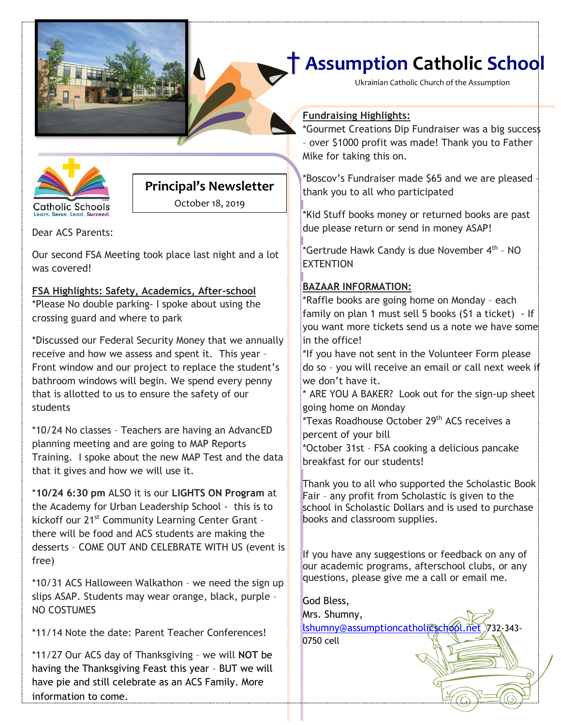

Ukrainian Catholic Church of the Assumption

# **Catholic Schools** arn Santa Load Succa

#### **Principal's Newsletter**

October 18, 2019

Dear ACS Parents:

Our second FSA Meeting took place last night and a lot was covered!

#### **FSA Highlights: Safety, Academics, After-school**  \*Please No double parking- I spoke about using the crossing guard and where to park

\*Discussed our Federal Security Money that we annually receive and how we assess and spent it. This year – Front window and our project to replace the student's bathroom windows will begin. We spend every penny that is allotted to us to ensure the safety of our students

\*10/24 No classes – Teachers are having an AdvancED planning meeting and are going to MAP Reports Training. I spoke about the new MAP Test and the data that it gives and how we will use it.

\***10/24 6:30 pm** ALSO it is our **LIGHTS ON Program** at the Academy for Urban Leadership School - this is to kickoff our 21<sup>st</sup> Community Learning Center Grant there will be food and ACS students are making the desserts – COME OUT AND CELEBRATE WITH US (event is free)

\*10/31 ACS Halloween Walkathon – we need the sign up slips ASAP. Students may wear orange, black, purple – NO COSTUMES

\*11/14 Note the date: Parent Teacher Conferences!

\*11/27 Our ACS day of Thanksgiving – we will **NOT** be having the Thanksgiving Feast this year – BUT we will have pie and still celebrate as an ACS Family. More information to come.

#### **Fundraising Highlights:**

**[Date]** \*Gourmet Creations Dip Fundraiser was a big success – over \$1000 profit was made! Thank you to Father Mike for taking this on.

\*Boscov's Fundraiser made \$65 and we are pleased – thank you to all who participated

\*Kid Stuff books money or returned books are past due please return or send in money ASAP!

\*Gertrude Hawk Candy is due November 4<sup>th</sup> - NO **FXTENTION** 

#### **BAZAAR INFORMATION:**

\*Raffle books are going home on Monday – each family on plan 1 must sell 5 books (\$1 a ticket) - If you want more tickets send us a note we have some in the office!

\*If you have not sent in the Volunteer Form please do so – you will receive an email or call next week if we don't have it.

\* ARE YOU A BAKER? Look out for the sign-up sheet going home on Monday

\*Texas Roadhouse October 29th ACS receives a percent of your bill

\*October 31st – FSA cooking a delicious pancake breakfast for our students!

Thank you to all who supported the Scholastic Book Fair – any profit from Scholastic is given to the school in Scholastic Dollars and is used to purchase books and classroom supplies.

If you have any suggestions or feedback on any of our academic programs, afterschool clubs, or any questions, please give me a call or email me.

God Bless, Mrs. Shumny, lshumny@assumptioncatholi@school.net 732-343-0750 cell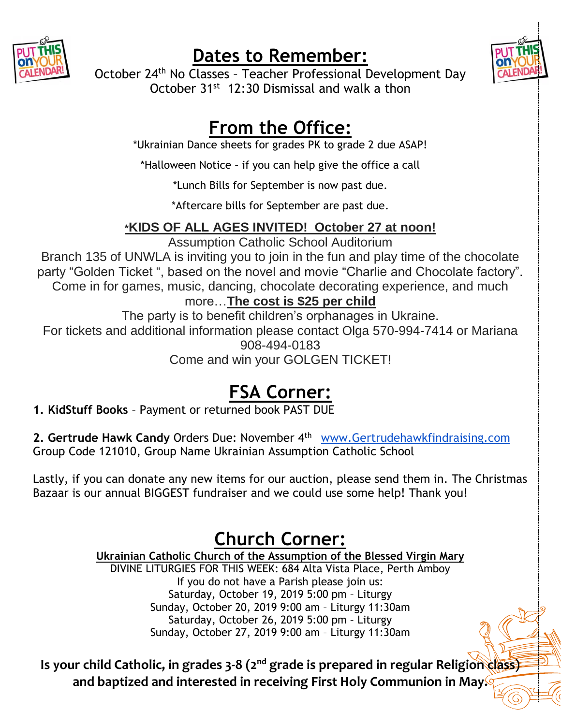

### **Dates to Remember:**



October 24th No Classes – Teacher Professional Development Day October 31st 12:30 Dismissal and walk a thon

## **From the Office:**

\*Ukrainian Dance sheets for grades PK to grade 2 due ASAP!

\*Halloween Notice – if you can help give the office a call

\*Lunch Bills for September is now past due.

\*Aftercare bills for September are past due.

### **\*KIDS OF ALL AGES INVITED! October 27 at noon!**

Assumption Catholic School Auditorium

Branch 135 of UNWLA is inviting you to join in the fun and play time of the chocolate party "Golden Ticket ", based on the novel and movie "Charlie and Chocolate factory". Come in for games, music, dancing, chocolate decorating experience, and much

### more…**The cost is \$25 per child**

The party is to benefit children's orphanages in Ukraine. For tickets and additional information please contact Olga 570-994-7414 or Mariana 908-494-0183

Come and win your GOLGEN TICKET!

# **FSA Corner:**

**1. KidStuff Books** – Payment or returned book PAST DUE

**2. Gertrude Hawk Candy** Orders Due: November 4th [www.Gertrudehawkfindraising.com](http://www.gertrudehawkfindraising.com/)  Group Code 121010, Group Name Ukrainian Assumption Catholic School

Lastly, if you can donate any new items for our auction, please send them in. The Christmas Bazaar is our annual BIGGEST fundraiser and we could use some help! Thank you!

## **Church Corner:**

### **Ukrainian Catholic Church of the Assumption of the Blessed Virgin Mary**

DIVINE LITURGIES FOR THIS WEEK: 684 Alta Vista Place, Perth Amboy If you do not have a Parish please join us: Saturday, October 19, 2019 5:00 pm – Liturgy Sunday, October 20, 2019 9:00 am – Liturgy 11:30am Saturday, October 26, 2019 5:00 pm – Liturgy Sunday, October 27, 2019 9:00 am – Liturgy 11:30am

**Is your child Catholic, in grades 3-8 (2nd grade is prepared in regular Religion class) and baptized and interested in receiving First Holy Communion in May.**